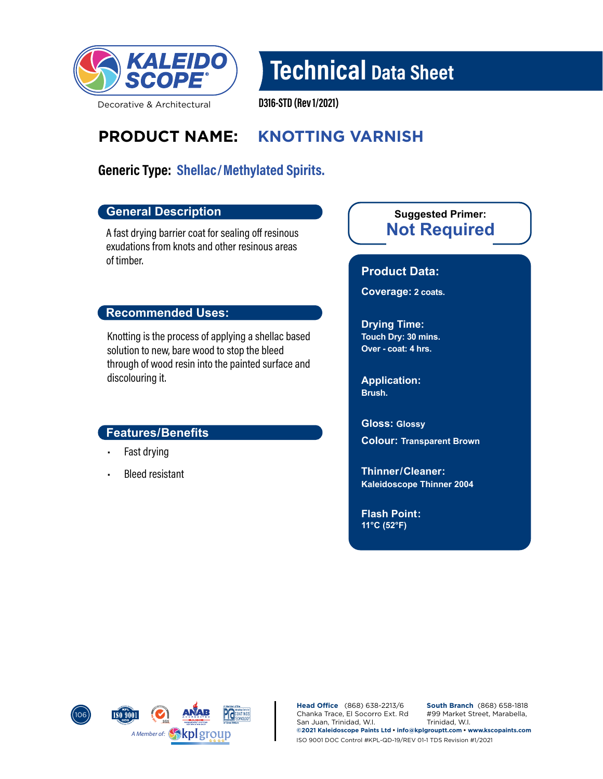

# Technical Data Sheet

Decorative & Architectural

D316-STD (Rev 1/2021)

## **PRODUCT NAME: KNOTTING VARNISH**

## Generic Type: Shellac/Methylated Spirits.

#### **General Description**

A fast drying barrier coat for sealing off resinous exudations from knots and other resinous areas of timber.

#### **Recommended Uses:**

Knotting is the process of applying a shellac based solution to new, bare wood to stop the bleed through of wood resin into the painted surface and discolouring it.

#### **Features/Benefits**

- Fast drying
- Bleed resistant

### **Not Required Suggested Primer:**

#### **Product Data:**

**Coverage: 2 coats.**

**Drying Time: Touch Dry: 30 mins. Over - coat: 4 hrs.**

**Application: Brush.**

**Gloss: Glossy**

**Colour: Transparent Brown**

**Kaleidoscope Thinner 2004 Thinner/ Cleaner:** 

**Flash Point: 11°C (52°F)**



**Head Office** (868) 638-2213/6 Chanka Trace, El Socorro Ext. Rd San Juan, Trinidad, W.I. **South Branch** (868) 658-1818 #99 Market Street, Marabella, Trinidad, W.I. **©2021 Kaleidoscope Paints Ltd • info@kplgrouptt.com • www.kscopaints.com** ISO 9001 DOC Control #KPL-QD-19/REV 01-1 TDS Revision #1/2021